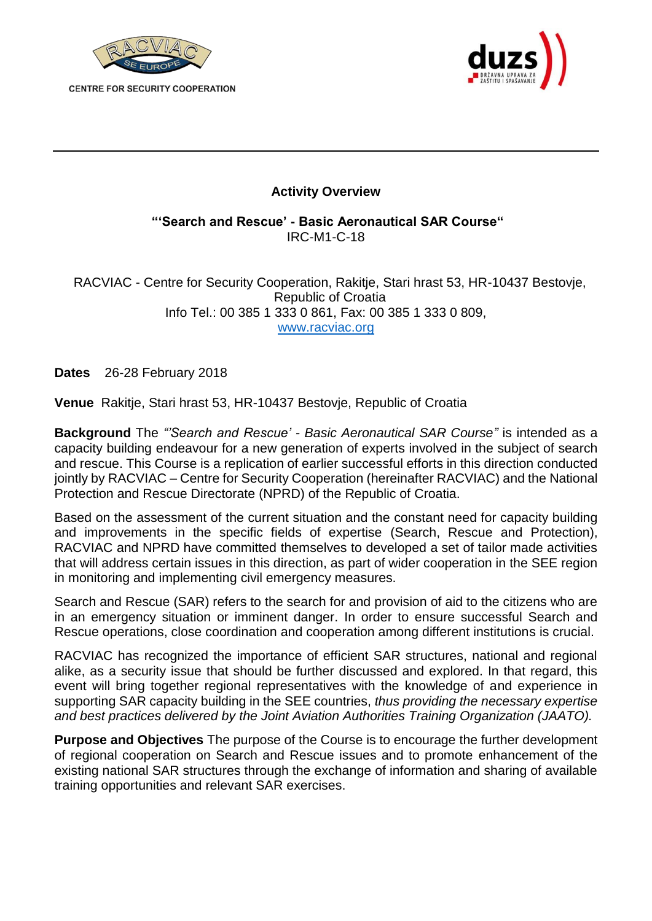

**CENTRE FOR SECURITY COOPERATION** 



## **Activity Overview**

**"'Search and Rescue' - Basic Aeronautical SAR Course"**  IRC-M1-C-18

RACVIAC - Centre for Security Cooperation, Rakitje, Stari hrast 53, HR-10437 Bestovje, Republic of Croatia Info Tel.: 00 385 1 333 0 861, Fax: 00 385 1 333 0 809, [www.racviac.org](http://www.racviac.org/)

**Dates** 26-28 February 2018

**Venue** Rakitje, Stari hrast 53, HR-10437 Bestovje, Republic of Croatia

**Background** The *"'Search and Rescue' - Basic Aeronautical SAR Course"* is intended as a capacity building endeavour for a new generation of experts involved in the subject of search and rescue. This Course is a replication of earlier successful efforts in this direction conducted jointly by RACVIAC – Centre for Security Cooperation (hereinafter RACVIAC) and the National Protection and Rescue Directorate (NPRD) of the Republic of Croatia.

Based on the assessment of the current situation and the constant need for capacity building and improvements in the specific fields of expertise (Search, Rescue and Protection), RACVIAC and NPRD have committed themselves to developed a set of tailor made activities that will address certain issues in this direction, as part of wider cooperation in the SEE region in monitoring and implementing civil emergency measures.

Search and Rescue (SAR) refers to the search for and provision of aid to the citizens who are in an emergency situation or imminent danger. In order to ensure successful Search and Rescue operations, close coordination and cooperation among different institutions is crucial.

RACVIAC has recognized the importance of efficient SAR structures, national and regional alike, as a security issue that should be further discussed and explored. In that regard, this event will bring together regional representatives with the knowledge of and experience in supporting SAR capacity building in the SEE countries, *thus providing the necessary expertise and best practices delivered by the Joint Aviation Authorities Training Organization (JAATO).* 

**Purpose and Objectives** The purpose of the Course is to encourage the further development of regional cooperation on Search and Rescue issues and to promote enhancement of the existing national SAR structures through the exchange of information and sharing of available training opportunities and relevant SAR exercises.